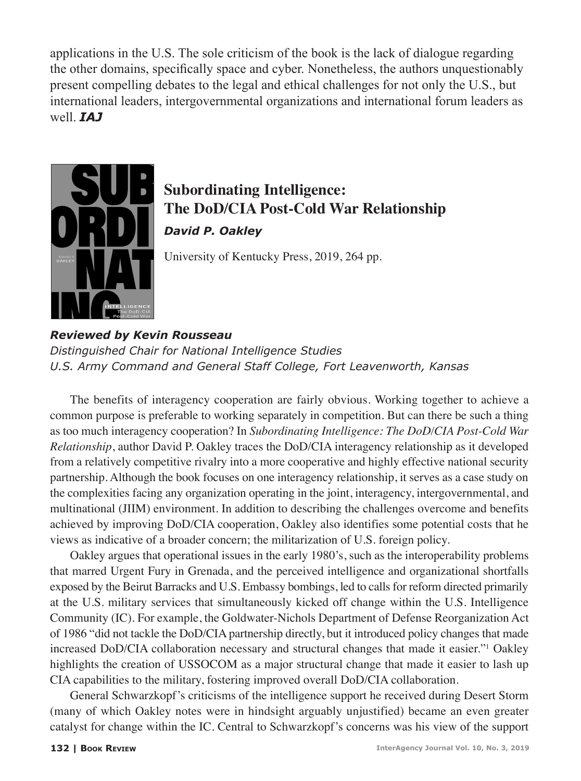applications in the U.S. The sole criticism of the book is the lack of dialogue regarding the other domains, specifically space and cyber. Nonetheless, the authors unquestionably present compelling debates to the legal and ethical challenges for not only the U.S., but international leaders, intergovernmental organizations and international forum leaders as well. *IAJ*



## **Subordinating Intelligence: The DoD/CIA Post-Cold War Relationship** *David P. Oakley*

University of Kentucky Press, 2019, 264 pp.

*Reviewed by Kevin Rousseau Distinguished Chair for National Intelligence Studies U.S. Army Command and General Staff College, Fort Leavenworth, Kansas*

The benefits of interagency cooperation are fairly obvious. Working together to achieve a common purpose is preferable to working separately in competition. But can there be such a thing as too much interagency cooperation? In *Subordinating Intelligence: The DoD/CIA Post-Cold War Relationship*, author David P. Oakley traces the DoD/CIA interagency relationship as it developed from a relatively competitive rivalry into a more cooperative and highly effective national security partnership. Although the book focuses on one interagency relationship, it serves as a case study on the complexities facing any organization operating in the joint, interagency, intergovernmental, and multinational (JIIM) environment. In addition to describing the challenges overcome and benefits achieved by improving DoD/CIA cooperation, Oakley also identifies some potential costs that he views as indicative of a broader concern; the militarization of U.S. foreign policy.

Oakley argues that operational issues in the early 1980's, such as the interoperability problems that marred Urgent Fury in Grenada, and the perceived intelligence and organizational shortfalls exposed by the Beirut Barracks and U.S. Embassy bombings, led to calls for reform directed primarily at the U.S. military services that simultaneously kicked off change within the U.S. Intelligence Community (IC). For example, the Goldwater-Nichols Department of Defense Reorganization Act of 1986 "did not tackle the DoD/CIA partnership directly, but it introduced policy changes that made increased DoD/CIA collaboration necessary and structural changes that made it easier."1 Oakley highlights the creation of USSOCOM as a major structural change that made it easier to lash up CIA capabilities to the military, fostering improved overall DoD/CIA collaboration.

General Schwarzkopf's criticisms of the intelligence support he received during Desert Storm (many of which Oakley notes were in hindsight arguably unjustified) became an even greater catalyst for change within the IC. Central to Schwarzkopf's concerns was his view of the support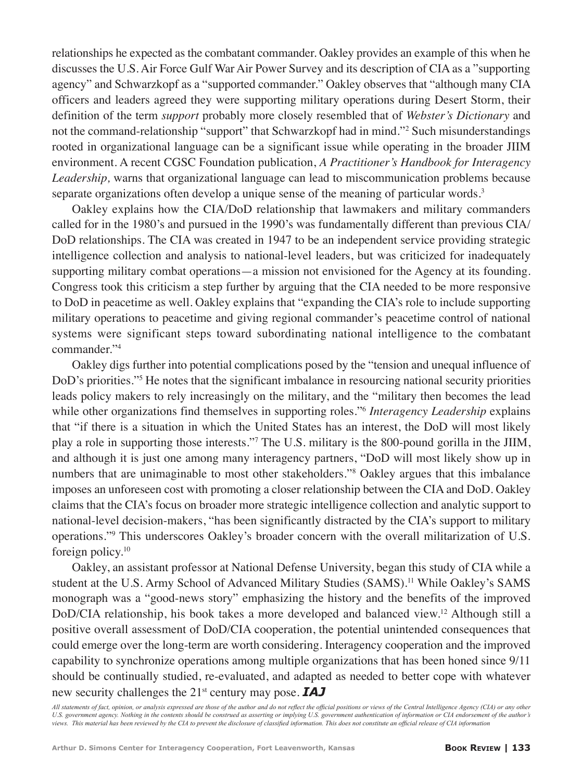relationships he expected as the combatant commander. Oakley provides an example of this when he discusses the U.S. Air Force Gulf War Air Power Survey and its description of CIA as a "supporting agency" and Schwarzkopf as a "supported commander." Oakley observes that "although many CIA officers and leaders agreed they were supporting military operations during Desert Storm, their definition of the term *support* probably more closely resembled that of *Webster's Dictionary* and not the command-relationship "support" that Schwarzkopf had in mind."<sup>2</sup> Such misunderstandings rooted in organizational language can be a significant issue while operating in the broader JIIM environment. A recent CGSC Foundation publication, *A Practitioner's Handbook for Interagency Leadership,* warns that organizational language can lead to miscommunication problems because separate organizations often develop a unique sense of the meaning of particular words. $3$ 

Oakley explains how the CIA/DoD relationship that lawmakers and military commanders called for in the 1980's and pursued in the 1990's was fundamentally different than previous CIA/ DoD relationships. The CIA was created in 1947 to be an independent service providing strategic intelligence collection and analysis to national-level leaders, but was criticized for inadequately supporting military combat operations—a mission not envisioned for the Agency at its founding. Congress took this criticism a step further by arguing that the CIA needed to be more responsive to DoD in peacetime as well. Oakley explains that "expanding the CIA's role to include supporting military operations to peacetime and giving regional commander's peacetime control of national systems were significant steps toward subordinating national intelligence to the combatant commander."4

Oakley digs further into potential complications posed by the "tension and unequal influence of DoD's priorities."<sup>5</sup> He notes that the significant imbalance in resourcing national security priorities leads policy makers to rely increasingly on the military, and the "military then becomes the lead while other organizations find themselves in supporting roles.<sup>"6</sup> *Interagency Leadership* explains that "if there is a situation in which the United States has an interest, the DoD will most likely play a role in supporting those interests."7 The U.S. military is the 800-pound gorilla in the JIIM, and although it is just one among many interagency partners, "DoD will most likely show up in numbers that are unimaginable to most other stakeholders."8 Oakley argues that this imbalance imposes an unforeseen cost with promoting a closer relationship between the CIA and DoD. Oakley claims that the CIA's focus on broader more strategic intelligence collection and analytic support to national-level decision-makers, "has been significantly distracted by the CIA's support to military operations."9 This underscores Oakley's broader concern with the overall militarization of U.S. foreign policy.10

Oakley, an assistant professor at National Defense University, began this study of CIA while a student at the U.S. Army School of Advanced Military Studies (SAMS).<sup>11</sup> While Oakley's SAMS monograph was a "good-news story" emphasizing the history and the benefits of the improved DoD/CIA relationship, his book takes a more developed and balanced view.<sup>12</sup> Although still a positive overall assessment of DoD/CIA cooperation, the potential unintended consequences that could emerge over the long-term are worth considering. Interagency cooperation and the improved capability to synchronize operations among multiple organizations that has been honed since 9/11 should be continually studied, re-evaluated, and adapted as needed to better cope with whatever new security challenges the 21<sup>st</sup> century may pose. **IAJ** 

*All statements of fact, opinion, or analysis expressed are those of the author and do not reflect the official positions or views of the Central Intelligence Agency (CIA) or any other U.S. government agency. Nothing in the contents should be construed as asserting or implying U.S. government authentication of information or CIA endorsement of the author's views. This material has been reviewed by the CIA to prevent the disclosure of classified information. This does not constitute an official release of CIA information*